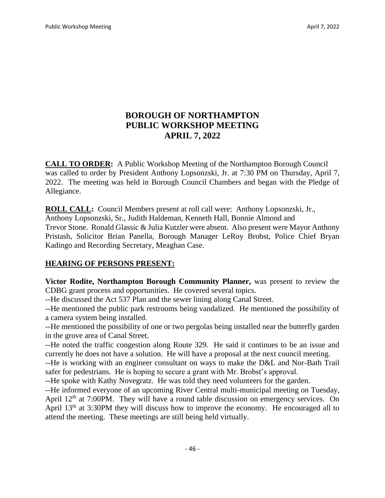# **BOROUGH OF NORTHAMPTON PUBLIC WORKSHOP MEETING APRIL 7, 2022**

**CALL TO ORDER:** A Public Workshop Meeting of the Northampton Borough Council was called to order by President Anthony Lopsonzski, Jr. at 7:30 PM on Thursday, April 7, 2022. The meeting was held in Borough Council Chambers and began with the Pledge of Allegiance.

**ROLL CALL:** Council Members present at roll call were: Anthony Lopsonzski, Jr., Anthony Lopsonzski, Sr., Judith Haldeman, Kenneth Hall, Bonnie Almond and Trevor Stone. Ronald Glassic & Julia Kutzler were absent. Also present were Mayor Anthony Pristash, Solicitor Brian Panella, Borough Manager LeRoy Brobst, Police Chief Bryan Kadingo and Recording Secretary, Meaghan Case.

## **HEARING OF PERSONS PRESENT:**

**Victor Rodite, Northampton Borough Community Planner,** was present to review the CDBG grant process and opportunities. He covered several topics.

--He discussed the Act 537 Plan and the sewer lining along Canal Street.

--He mentioned the public park restrooms being vandalized. He mentioned the possibility of a camera system being installed.

--He mentioned the possibility of one or two pergolas being installed near the butterfly garden in the grove area of Canal Street.

--He noted the traffic congestion along Route 329. He said it continues to be an issue and currently he does not have a solution. He will have a proposal at the next council meeting.

--He is working with an engineer consultant on ways to make the D&L and Nor-Bath Trail safer for pedestrians. He is hoping to secure a grant with Mr. Brobst's approval.

--He spoke with Kathy Novegratz. He was told they need volunteers for the garden.

--He informed everyone of an upcoming River Central multi-municipal meeting on Tuesday, April 12<sup>th</sup> at 7:00PM. They will have a round table discussion on emergency services. On April 13<sup>th</sup> at 3:30PM they will discuss how to improve the economy. He encouraged all to attend the meeting. These meetings are still being held virtually.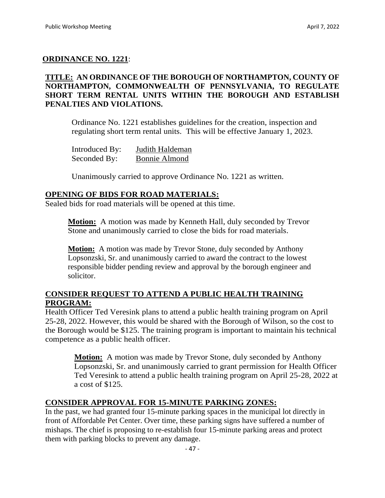## **ORDINANCE NO. 1221**:

## **TITLE: AN ORDINANCE OF THE BOROUGH OF NORTHAMPTON, COUNTY OF NORTHAMPTON, COMMONWEALTH OF PENNSYLVANIA, TO REGULATE SHORT TERM RENTAL UNITS WITHIN THE BOROUGH AND ESTABLISH PENALTIES AND VIOLATIONS.**

Ordinance No. 1221 establishes guidelines for the creation, inspection and regulating short term rental units. This will be effective January 1, 2023.

| Introduced By: | Judith Haldeman      |
|----------------|----------------------|
| Seconded By:   | <b>Bonnie Almond</b> |

Unanimously carried to approve Ordinance No. 1221 as written.

### **OPENING OF BIDS FOR ROAD MATERIALS:**

Sealed bids for road materials will be opened at this time.

**Motion:** A motion was made by Kenneth Hall, duly seconded by Trevor Stone and unanimously carried to close the bids for road materials.

**Motion:** A motion was made by Trevor Stone, duly seconded by Anthony Lopsonzski, Sr. and unanimously carried to award the contract to the lowest responsible bidder pending review and approval by the borough engineer and solicitor.

### **CONSIDER REQUEST TO ATTEND A PUBLIC HEALTH TRAINING PROGRAM:**

Health Officer Ted Veresink plans to attend a public health training program on April 25-28, 2022. However, this would be shared with the Borough of Wilson, so the cost to the Borough would be \$125. The training program is important to maintain his technical competence as a public health officer.

**Motion:** A motion was made by Trevor Stone, duly seconded by Anthony Lopsonzski, Sr. and unanimously carried to grant permission for Health Officer Ted Veresink to attend a public health training program on April 25-28, 2022 at a cost of \$125.

## **CONSIDER APPROVAL FOR 15-MINUTE PARKING ZONES:**

In the past, we had granted four 15-minute parking spaces in the municipal lot directly in front of Affordable Pet Center. Over time, these parking signs have suffered a number of mishaps. The chief is proposing to re-establish four 15-minute parking areas and protect them with parking blocks to prevent any damage.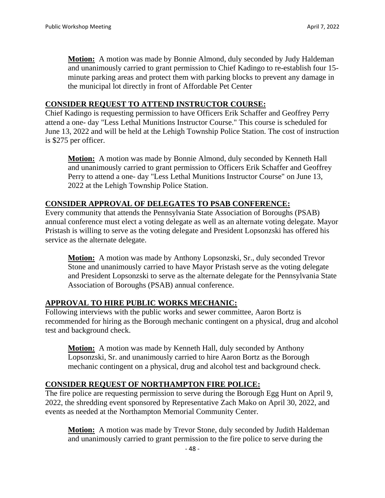**Motion:** A motion was made by Bonnie Almond, duly seconded by Judy Haldeman and unanimously carried to grant permission to Chief Kadingo to re-establish four 15 minute parking areas and protect them with parking blocks to prevent any damage in the municipal lot directly in front of Affordable Pet Center

#### **CONSIDER REQUEST TO ATTEND INSTRUCTOR COURSE:**

Chief Kadingo is requesting permission to have Officers Erik Schaffer and Geoffrey Perry attend a one- day "Less Lethal Munitions Instructor Course." This course is scheduled for June 13, 2022 and will be held at the Lehigh Township Police Station. The cost of instruction is \$275 per officer.

**Motion:** A motion was made by Bonnie Almond, duly seconded by Kenneth Hall and unanimously carried to grant permission to Officers Erik Schaffer and Geoffrey Perry to attend a one- day "Less Lethal Munitions Instructor Course" on June 13, 2022 at the Lehigh Township Police Station.

#### **CONSIDER APPROVAL OF DELEGATES TO PSAB CONFERENCE:**

Every community that attends the Pennsylvania State Association of Boroughs (PSAB) annual conference must elect a voting delegate as well as an alternate voting delegate. Mayor Pristash is willing to serve as the voting delegate and President Lopsonzski has offered his service as the alternate delegate.

**Motion:** A motion was made by Anthony Lopsonzski, Sr., duly seconded Trevor Stone and unanimously carried to have Mayor Pristash serve as the voting delegate and President Lopsonzski to serve as the alternate delegate for the Pennsylvania State Association of Boroughs (PSAB) annual conference.

#### **APPROVAL TO HIRE PUBLIC WORKS MECHANIC:**

Following interviews with the public works and sewer committee, Aaron Bortz is recommended for hiring as the Borough mechanic contingent on a physical, drug and alcohol test and background check.

**Motion:** A motion was made by Kenneth Hall, duly seconded by Anthony Lopsonzski, Sr. and unanimously carried to hire Aaron Bortz as the Borough mechanic contingent on a physical, drug and alcohol test and background check.

#### **CONSIDER REQUEST OF NORTHAMPTON FIRE POLICE:**

The fire police are requesting permission to serve during the Borough Egg Hunt on April 9, 2022, the shredding event sponsored by Representative Zach Mako on April 30, 2022, and events as needed at the Northampton Memorial Community Center.

**Motion:** A motion was made by Trevor Stone, duly seconded by Judith Haldeman and unanimously carried to grant permission to the fire police to serve during the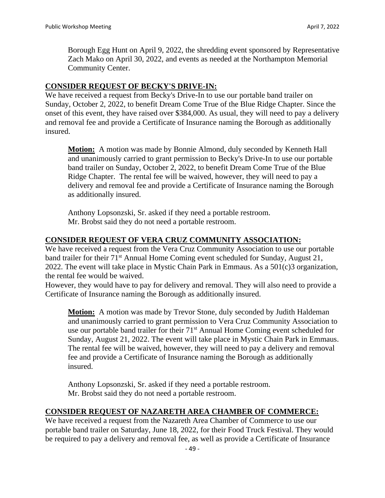Borough Egg Hunt on April 9, 2022, the shredding event sponsored by Representative Zach Mako on April 30, 2022, and events as needed at the Northampton Memorial Community Center.

#### **CONSIDER REQUEST OF BECKY'S DRIVE-IN:**

We have received a request from Becky's Drive-In to use our portable band trailer on Sunday, October 2, 2022, to benefit Dream Come True of the Blue Ridge Chapter. Since the onset of this event, they have raised over \$384,000. As usual, they will need to pay a delivery and removal fee and provide a Certificate of Insurance naming the Borough as additionally insured.

**Motion:** A motion was made by Bonnie Almond, duly seconded by Kenneth Hall and unanimously carried to grant permission to Becky's Drive-In to use our portable band trailer on Sunday, October 2, 2022, to benefit Dream Come True of the Blue Ridge Chapter. The rental fee will be waived, however, they will need to pay a delivery and removal fee and provide a Certificate of Insurance naming the Borough as additionally insured.

Anthony Lopsonzski, Sr. asked if they need a portable restroom. Mr. Brobst said they do not need a portable restroom.

### **CONSIDER REQUEST OF VERA CRUZ COMMUNITY ASSOCIATION:**

We have received a request from the Vera Cruz Community Association to use our portable band trailer for their 71<sup>st</sup> Annual Home Coming event scheduled for Sunday, August 21, 2022. The event will take place in Mystic Chain Park in Emmaus. As a 501(c)3 organization, the rental fee would be waived.

However, they would have to pay for delivery and removal. They will also need to provide a Certificate of Insurance naming the Borough as additionally insured.

**Motion:** A motion was made by Trevor Stone, duly seconded by Judith Haldeman and unanimously carried to grant permission to Vera Cruz Community Association to use our portable band trailer for their 71<sup>st</sup> Annual Home Coming event scheduled for Sunday, August 21, 2022. The event will take place in Mystic Chain Park in Emmaus. The rental fee will be waived, however, they will need to pay a delivery and removal fee and provide a Certificate of Insurance naming the Borough as additionally insured.

Anthony Lopsonzski, Sr. asked if they need a portable restroom. Mr. Brobst said they do not need a portable restroom.

## **CONSIDER REQUEST OF NAZARETH AREA CHAMBER OF COMMERCE:**

We have received a request from the Nazareth Area Chamber of Commerce to use our portable band trailer on Saturday, June 18, 2022, for their Food Truck Festival. They would be required to pay a delivery and removal fee, as well as provide a Certificate of Insurance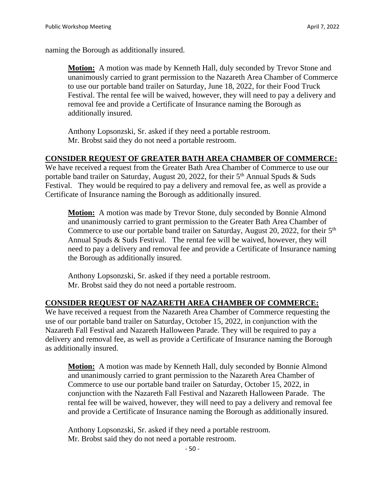naming the Borough as additionally insured.

**Motion:** A motion was made by Kenneth Hall, duly seconded by Trevor Stone and unanimously carried to grant permission to the Nazareth Area Chamber of Commerce to use our portable band trailer on Saturday, June 18, 2022, for their Food Truck Festival. The rental fee will be waived, however, they will need to pay a delivery and removal fee and provide a Certificate of Insurance naming the Borough as additionally insured.

Anthony Lopsonzski, Sr. asked if they need a portable restroom. Mr. Brobst said they do not need a portable restroom.

### **CONSIDER REQUEST OF GREATER BATH AREA CHAMBER OF COMMERCE:**

We have received a request from the Greater Bath Area Chamber of Commerce to use our portable band trailer on Saturday, August 20, 2022, for their  $5<sup>th</sup>$  Annual Spuds & Suds Festival. They would be required to pay a delivery and removal fee, as well as provide a Certificate of Insurance naming the Borough as additionally insured.

**Motion:** A motion was made by Trevor Stone, duly seconded by Bonnie Almond and unanimously carried to grant permission to the Greater Bath Area Chamber of Commerce to use our portable band trailer on Saturday, August 20, 2022, for their  $5<sup>th</sup>$ Annual Spuds & Suds Festival. The rental fee will be waived, however, they will need to pay a delivery and removal fee and provide a Certificate of Insurance naming the Borough as additionally insured.

Anthony Lopsonzski, Sr. asked if they need a portable restroom. Mr. Brobst said they do not need a portable restroom.

## **CONSIDER REQUEST OF NAZARETH AREA CHAMBER OF COMMERCE:**

We have received a request from the Nazareth Area Chamber of Commerce requesting the use of our portable band trailer on Saturday, October 15, 2022, in conjunction with the Nazareth Fall Festival and Nazareth Halloween Parade. They will be required to pay a delivery and removal fee, as well as provide a Certificate of Insurance naming the Borough as additionally insured.

**Motion:** A motion was made by Kenneth Hall, duly seconded by Bonnie Almond and unanimously carried to grant permission to the Nazareth Area Chamber of Commerce to use our portable band trailer on Saturday, October 15, 2022, in conjunction with the Nazareth Fall Festival and Nazareth Halloween Parade. The rental fee will be waived, however, they will need to pay a delivery and removal fee and provide a Certificate of Insurance naming the Borough as additionally insured.

Anthony Lopsonzski, Sr. asked if they need a portable restroom. Mr. Brobst said they do not need a portable restroom.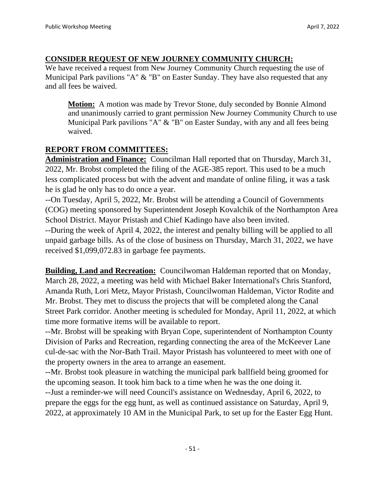## **CONSIDER REQUEST OF NEW JOURNEY COMMUNITY CHURCH:**

We have received a request from New Journey Community Church requesting the use of Municipal Park pavilions "A" & "B" on Easter Sunday. They have also requested that any and all fees be waived.

**Motion:** A motion was made by Trevor Stone, duly seconded by Bonnie Almond and unanimously carried to grant permission New Journey Community Church to use Municipal Park pavilions "A" & "B" on Easter Sunday, with any and all fees being waived.

# **REPORT FROM COMMITTEES:**

**Administration and Finance:** Councilman Hall reported that on Thursday, March 31, 2022, Mr. Brobst completed the filing of the AGE-385 report. This used to be a much less complicated process but with the advent and mandate of online filing, it was a task he is glad he only has to do once a year.

--On Tuesday, April 5, 2022, Mr. Brobst will be attending a Council of Governments (COG) meeting sponsored by Superintendent Joseph Kovalchik of the Northampton Area School District. Mayor Pristash and Chief Kadingo have also been invited.

--During the week of April 4, 2022, the interest and penalty billing will be applied to all unpaid garbage bills. As of the close of business on Thursday, March 31, 2022, we have received \$1,099,072.83 in garbage fee payments.

**Building, Land and Recreation:** Councilwoman Haldeman reported that on Monday, March 28, 2022, a meeting was held with Michael Baker International's Chris Stanford, Amanda Ruth, Lori Metz, Mayor Pristash, Councilwoman Haldeman, Victor Rodite and Mr. Brobst. They met to discuss the projects that will be completed along the Canal Street Park corridor. Another meeting is scheduled for Monday, April 11, 2022, at which time more formative items will be available to report.

--Mr. Brobst will be speaking with Bryan Cope, superintendent of Northampton County Division of Parks and Recreation, regarding connecting the area of the McKeever Lane cul-de-sac with the Nor-Bath Trail. Mayor Pristash has volunteered to meet with one of the property owners in the area to arrange an easement.

--Mr. Brobst took pleasure in watching the municipal park ballfield being groomed for the upcoming season. It took him back to a time when he was the one doing it. --Just a reminder-we will need Council's assistance on Wednesday, April 6, 2022, to prepare the eggs for the egg hunt, as well as continued assistance on Saturday, April 9, 2022, at approximately 10 AM in the Municipal Park, to set up for the Easter Egg Hunt.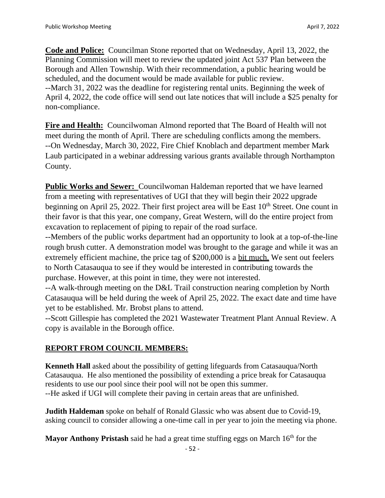**Code and Police:** Councilman Stone reported that on Wednesday, April 13, 2022, the Planning Commission will meet to review the updated joint Act 537 Plan between the Borough and Allen Township. With their recommendation, a public hearing would be scheduled, and the document would be made available for public review. --March 31, 2022 was the deadline for registering rental units. Beginning the week of April 4, 2022, the code office will send out late notices that will include a \$25 penalty for non-compliance.

**Fire and Health:** Councilwoman Almond reported that The Board of Health will not meet during the month of April. There are scheduling conflicts among the members. --On Wednesday, March 30, 2022, Fire Chief Knoblach and department member Mark Laub participated in a webinar addressing various grants available through Northampton County.

**Public Works and Sewer:** Councilwoman Haldeman reported that we have learned from a meeting with representatives of UGI that they will begin their 2022 upgrade beginning on April 25, 2022. Their first project area will be East  $10<sup>th</sup>$  Street. One count in their favor is that this year, one company, Great Western, will do the entire project from excavation to replacement of piping to repair of the road surface.

--Members of the public works department had an opportunity to look at a top-of-the-line rough brush cutter. A demonstration model was brought to the garage and while it was an extremely efficient machine, the price tag of \$200,000 is a bit much. We sent out feelers to North Catasauqua to see if they would be interested in contributing towards the purchase. However, at this point in time, they were not interested.

--A walk-through meeting on the D&L Trail construction nearing completion by North Catasauqua will be held during the week of April 25, 2022. The exact date and time have yet to be established. Mr. Brobst plans to attend.

--Scott Gillespie has completed the 2021 Wastewater Treatment Plant Annual Review. A copy is available in the Borough office.

# **REPORT FROM COUNCIL MEMBERS:**

**Kenneth Hall** asked about the possibility of getting lifeguards from Catasauqua/North Catasauqua. He also mentioned the possibility of extending a price break for Catasauqua residents to use our pool since their pool will not be open this summer. --He asked if UGI will complete their paving in certain areas that are unfinished.

**Judith Haldeman** spoke on behalf of Ronald Glassic who was absent due to Covid-19, asking council to consider allowing a one-time call in per year to join the meeting via phone.

**Mayor Anthony Pristash** said he had a great time stuffing eggs on March 16<sup>th</sup> for the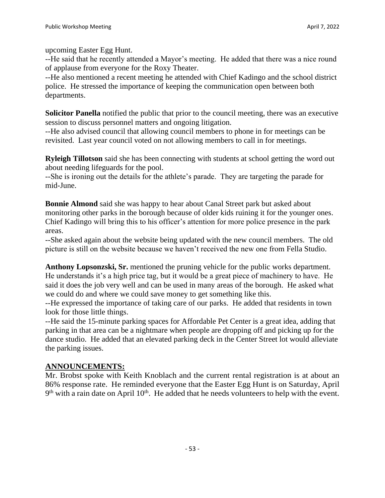upcoming Easter Egg Hunt.

--He said that he recently attended a Mayor's meeting. He added that there was a nice round of applause from everyone for the Roxy Theater.

--He also mentioned a recent meeting he attended with Chief Kadingo and the school district police. He stressed the importance of keeping the communication open between both departments.

**Solicitor Panella** notified the public that prior to the council meeting, there was an executive session to discuss personnel matters and ongoing litigation.

--He also advised council that allowing council members to phone in for meetings can be revisited. Last year council voted on not allowing members to call in for meetings.

**Ryleigh Tillotson** said she has been connecting with students at school getting the word out about needing lifeguards for the pool.

--She is ironing out the details for the athlete's parade. They are targeting the parade for mid-June.

**Bonnie Almond** said she was happy to hear about Canal Street park but asked about monitoring other parks in the borough because of older kids ruining it for the younger ones. Chief Kadingo will bring this to his officer's attention for more police presence in the park areas.

--She asked again about the website being updated with the new council members. The old picture is still on the website because we haven't received the new one from Fella Studio.

**Anthony Lopsonzski, Sr.** mentioned the pruning vehicle for the public works department. He understands it's a high price tag, but it would be a great piece of machinery to have. He said it does the job very well and can be used in many areas of the borough. He asked what we could do and where we could save money to get something like this.

--He expressed the importance of taking care of our parks. He added that residents in town look for those little things.

--He said the 15-minute parking spaces for Affordable Pet Center is a great idea, adding that parking in that area can be a nightmare when people are dropping off and picking up for the dance studio. He added that an elevated parking deck in the Center Street lot would alleviate the parking issues.

## **ANNOUNCEMENTS:**

Mr. Brobst spoke with Keith Knoblach and the current rental registration is at about an 86% response rate. He reminded everyone that the Easter Egg Hunt is on Saturday, April  $9<sup>th</sup>$  with a rain date on April 10<sup>th</sup>. He added that he needs volunteers to help with the event.